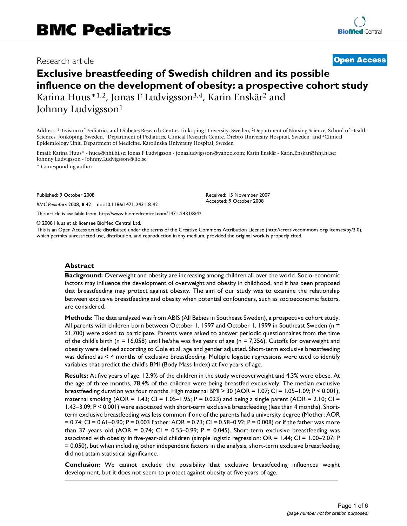## Research article **[Open Access](http://www.biomedcentral.com/info/about/charter/)**

# **Exclusive breastfeeding of Swedish children and its possible influence on the development of obesity: a prospective cohort study** Karina Huus\*1,2, Jonas F Ludvigsson3,4, Karin Enskär2 and

Johnny Ludvigsson<sup>1</sup>

Address: 1Division of Pediatrics and Diabetes Research Centre, Linköping University, Sweden, 2Department of Nursing Science, School of Health Sciences, Jönköping, Sweden, 3Department of Pediatrics, Clinical Research Centre, Örebro University Hospital, Sweden and 4Clinical Epidemiology Unit, Department of Medicine, Karolinska University Hospital, Sweden

Email: Karina Huus\* - huca@hhj.hj.se; Jonas F Ludvigsson - jonasludvigsson@yahoo.com; Karin Enskär - Karin.Enskar@hhj.hj.se; Johnny Ludvigsson - Johnny.Ludvigsson@lio.se

\* Corresponding author

Published: 9 October 2008

*BMC Pediatrics* 2008, **8**:42 doi:10.1186/1471-2431-8-42

[This article is available from: http://www.biomedcentral.com/1471-2431/8/42](http://www.biomedcentral.com/1471-2431/8/42)

© 2008 Huus et al; licensee BioMed Central Ltd.

This is an Open Access article distributed under the terms of the Creative Commons Attribution License [\(http://creativecommons.org/licenses/by/2.0\)](http://creativecommons.org/licenses/by/2.0), which permits unrestricted use, distribution, and reproduction in any medium, provided the original work is properly cited.

Received: 15 November 2007 Accepted: 9 October 2008

#### **Abstract**

**Background:** Overweight and obesity are increasing among children all over the world. Socio-economic factors may influence the development of overweight and obesity in childhood, and it has been proposed that breastfeeding may protect against obesity. The aim of our study was to examine the relationship between exclusive breastfeeding and obesity when potential confounders, such as socioeconomic factors, are considered.

**Methods:** The data analyzed was from ABIS (All Babies in Southeast Sweden), a prospective cohort study. All parents with children born between October 1, 1997 and October 1, 1999 in Southeast Sweden (n = 21,700) were asked to participate. Parents were asked to answer periodic questionnaires from the time of the child's birth (n = 16,058) until he/she was five years of age (n = 7,356). Cutoffs for overweight and obesity were defined according to Cole et al, age and gender adjusted. Short-term exclusive breastfeeding was defined as < 4 months of exclusive breastfeeding. Multiple logistic regressions were used to identify variables that predict the child's BMI (Body Mass Index) at five years of age.

**Results:** At five years of age, 12.9% of the children in the study wereoverweight and 4.3% were obese. At the age of three months, 78.4% of the children were being breastfed exclusively. The median exclusive breastfeeding duration was four months. High maternal BMI > 30 (AOR = 1.07; CI = 1.05–1.09; P < 0.001), maternal smoking (AOR =  $1.43$ ; CI =  $1.05-1.95$ ; P = 0.023) and being a single parent (AOR = 2.10; CI = 1.43–3.09; P < 0.001) were associated with short-term exclusive breastfeeding (less than 4 months). Shortterm exclusive breastfeeding was less common if one of the parents had a university degree (Mother: AOR = 0.74; CI = 0.61–0.90; P = 0.003 Father: AOR = 0.73; CI = 0.58–0.92; P = 0.008) or if the father was more than 37 years old (AOR =  $0.74$ ; CI =  $0.55-0.99$ ; P = 0.045). Short-term exclusive breastfeeding was associated with obesity in five-year-old children (simple logistic regression: OR = 1.44; CI = 1.00–2.07; P = 0.050), but when including other independent factors in the analysis, short-term exclusive breastfeeding did not attain statistical significance.

**Conclusion:** We cannot exclude the possibility that exclusive breastfeeding influences weight development, but it does not seem to protect against obesity at five years of age.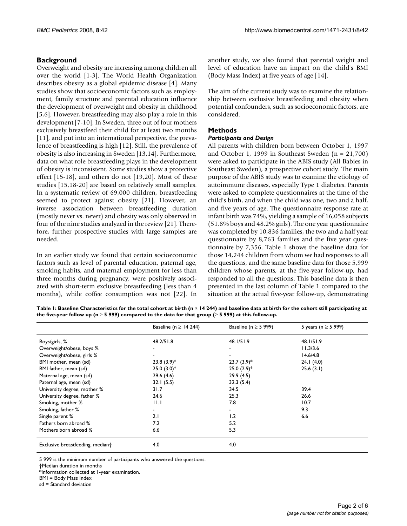#### **Background**

Overweight and obesity are increasing among children all over the world [1-3]. The World Health Organization describes obesity as a global epidemic disease [4]. Many studies show that socioeconomic factors such as employment, family structure and parental education influence the development of overweight and obesity in childhood [5,6]. However, breastfeeding may also play a role in this development [7-10]. In Sweden, three out of four mothers exclusively breastfeed their child for at least two months [11], and put into an international perspective, the prevalence of breastfeeding is high [12]. Still, the prevalence of obesity is also increasing in Sweden [13,14]. Furthermore, data on what role breastfeeding plays in the development of obesity is inconsistent. Some studies show a protective effect [15-18], and others do not [19,20]. Most of these studies [15,18-20] are based on relatively small samples. In a systematic review of 69,000 children, breastfeeding seemed to protect against obesity [21]. However, an inverse association between breastfeeding duration (mostly never vs. never) and obesity was only observed in four of the nine studies analyzed in the review [21]. Therefore, further prospective studies with large samples are needed.

In an earlier study we found that certain socioeconomic factors such as level of parental education, paternal age, smoking habits, and maternal employment for less than three months during pregnancy, were positively associated with short-term exclusive breastfeeding (less than 4 months), while coffee consumption was not [22]. In another study, we also found that parental weight and level of education have an impact on the child's BMI (Body Mass Index) at five years of age [14].

The aim of the current study was to examine the relationship between exclusive breastfeeding and obesity when potential confounders, such as socioeconomic factors, are considered.

#### **Methods**

#### *Participants and Design*

All parents with children born between October 1, 1997 and October 1, 1999 in Southeast Sweden (n = 21,700) were asked to participate in the ABIS study (All Babies in Southeast Sweden), a prospective cohort study. The main purpose of the ABIS study was to examine the etiology of autoimmune diseases, especially Type 1 diabetes. Parents were asked to complete questionnaires at the time of the child's birth, and when the child was one, two and a half, and five years of age. The questionnaire response rate at infant birth was 74%, yielding a sample of 16,058 subjects (51.8% boys and 48.2% girls). The one year questionnaire was completed by 10,836 families, the two and a half year questionnaire by 8,763 families and the five year questionnaire by 7,356. Table 1 shows the baseline data for those 14,244 children from whom we had responses to all the questions, and the same baseline data for those 5,999 children whose parents, at the five-year follow-up, had responded to all the questions. This baseline data is then presented in the last column of Table 1 compared to the situation at the actual five-year follow-up, demonstrating

**Table 1: Baseline Characteristics for the total cohort at birth (n** ≥ **14 244) and baseline data at birth for the cohort still participating at the five-year follow up (n** ≥ **5 999) compared to the data for that group (**≥ **5 999) at this follow-up.** 

|                                  | Baseline (n $\geq$ 14 244) | Baseline (n $\geq$ 5 999) | 5 years (n $\ge$ 5 999) |
|----------------------------------|----------------------------|---------------------------|-------------------------|
| Boys/girls, %                    | 48.2/51.8                  | 48.1/51.9                 | 48.1/51.9               |
| Overweight/obese, boys %         |                            |                           | 11.3/3.6                |
| Overweight/obese, girls %        |                            |                           | 14.6/4.8                |
| BMI mother, mean (sd)            | $23.8(3.9)$ *              | $23.7(3.9)$ *             | 24.1(4.0)               |
| BMI father, mean (sd)            | $25.0(3.0)*$               | $25.0(2.9)$ *             | 25.6(3.1)               |
| Maternal age, mean (sd)          | 29.6(4.6)                  | 29.9(4.5)                 |                         |
| Paternal age, mean (sd)          | 32.1(5.5)                  | 32.3(5.4)                 |                         |
| University degree, mother %      | 31.7                       | 34.5                      | 39.4                    |
| University degree, father %      | 24.6                       | 25.3                      | 26.6                    |
| Smoking, mother %                | 11.1                       | 7.8                       | 10.7                    |
| Smoking, father %                |                            |                           | 9.3                     |
| Single parent %                  | 2.1                        | 1.2                       | 6.6                     |
| Fathers born abroad %            | 7.2                        | 5.2                       |                         |
| Mothers born abroad %            | 6.6                        | 5.3                       |                         |
| Exclusive breastfeeding, mediant | 4.0                        | 4.0                       |                         |

5 999 is the minimum number of participants who answered the questions.

\*Information collected at 1-year examination.

BMI = Body Mass Index

sd = Standard deviation

<sup>†</sup>Median duration in months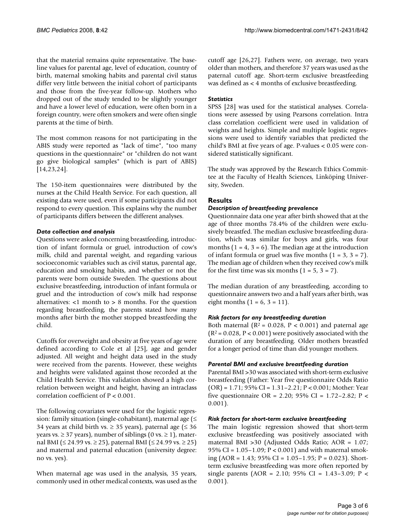that the material remains quite representative. The baseline values for parental age, level of education, country of birth, maternal smoking habits and parental civil status differ very little between the initial cohort of participants and those from the five-year follow-up. Mothers who dropped out of the study tended to be slightly younger and have a lower level of education, were often born in a foreign country, were often smokers and were often single parents at the time of birth.

The most common reasons for not participating in the ABIS study were reported as "lack of time", "too many questions in the questionnaire" or "children do not want go give biological samples" (which is part of ABIS) [14,23,24].

The 150-item questionnaires were distributed by the nurses at the Child Health Service. For each question, all existing data were used, even if some participants did not respond to every question. This explains why the number of participants differs between the different analyses.

#### *Data collection and analysis*

Questions were asked concerning breastfeeding, introduction of infant formula or gruel, introduction of cow's milk, child and parental weight, and regarding various socioeconomic variables such as civil status, parental age, education and smoking habits, and whether or not the parents were born outside Sweden. The questions about exclusive breastfeeding, introduction of infant formula or gruel and the introduction of cow's milk had response alternatives: <1 month to > 8 months. For the question regarding breastfeeding, the parents stated how many months after birth the mother stopped breastfeeding the child.

Cutoffs for overweight and obesity at five years of age were defined according to Cole et al [25], age and gender adjusted. All weight and height data used in the study were received from the parents. However, these weights and heights were validated against those recorded at the Child Health Service. This validation showed a high correlation between weight and height, having an intraclass correlation coefficient of P < 0.001.

The following covariates were used for the logistic regression: family situation (single-cohabitant), maternal age  $(\leq$ 34 years at child birth vs.  $\geq$  35 years), paternal age ( $\leq$  36 years vs.  $\geq$  37 years), number of siblings (0 vs.  $\geq$  1), maternal BMI ( $\leq$  24.99 vs.  $\geq$  25), paternal BMI ( $\leq$  24.99 vs.  $\geq$  25) and maternal and paternal education (university degree: no vs. yes).

When maternal age was used in the analysis, 35 years, commonly used in other medical contexts, was used as the cutoff age [26,27]. Fathers were, on average, two years older than mothers, and therefore 37 years was used as the paternal cutoff age. Short-term exclusive breastfeeding was defined as < 4 months of exclusive breastfeeding.

#### *Statistics*

SPSS [28] was used for the statistical analyses. Correlations were assessed by using Pearsons correlation. Intra class correlation coefficient were used in validation of weights and heights. Simple and multiple logistic regressions were used to identify variables that predicted the child's BMI at five years of age. P-values < 0.05 were considered statistically significant.

The study was approved by the Research Ethics Committee at the Faculty of Health Sciences, Linköping University, Sweden.

### **Results**

#### *Description of breastfeeding prevalence*

Questionnaire data one year after birth showed that at the age of three months 78.4% of the children were exclusively breastfed. The median exclusive breastfeeding duration, which was similar for boys and girls, was four months  $(1 = 4, 3 = 6)$ . The median age at the introduction of infant formula or gruel was five months  $(1 = 3, 3 = 7)$ . The median age of children when they received cow's milk for the first time was six months  $(1 = 5, 3 = 7)$ .

The median duration of any breastfeeding, according to questionnaire answers two and a half years after birth, was eight months  $(1 = 6, 3 = 11)$ .

#### *Risk factors for any breastfeeding duration*

Both maternal ( $R^2 = 0.028$ ,  $P < 0.001$ ) and paternal age  $(R^2 = 0.028, P < 0.001)$  were positively associated with the duration of any breastfeeding. Older mothers breastfed for a longer period of time than did younger mothers.

#### *Parental BMI and exclusive breastfeeding duration*

Parental BMI >30 was associated with short-term exclusive breastfeeding (Father: Year five questionnaire Odds Ratio (OR) = 1.71; 95% CI = 1.31–2.21; P < 0.001; Mother: Year five questionnaire OR = 2.20; 95% CI = 1.72–2.82; P < 0.001).

#### *Risk factors for short-term exclusive breastfeeding*

The main logistic regression showed that short-term exclusive breastfeeding was positively associated with maternal BMI >30 (Adjusted Odds Ratio; AOR = 1.07; 95% CI = 1.05–1.09; P < 0.001) and with maternal smoking (AOR = 1.43; 95% CI = 1.05–1.95; P = 0.023). Shortterm exclusive breastfeeding was more often reported by single parents (AOR = 2.10; 95% CI = 1.43-3.09; P < 0.001).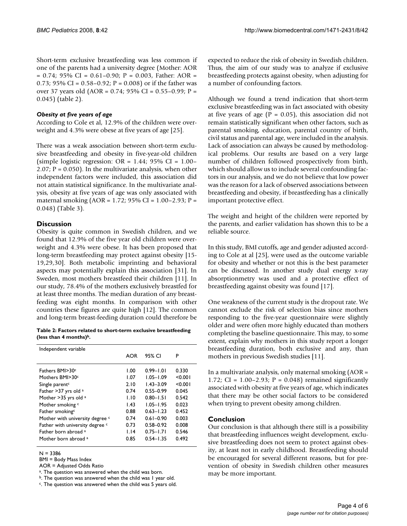Short-term exclusive breastfeeding was less common if one of the parents had a university degree (Mother: AOR  $= 0.74$ ; 95% CI = 0.61-0.90; P = 0.003, Father: AOR = 0.73; 95% CI =  $0.58 - 0.92$ ; P = 0.008) or if the father was over 37 years old (AOR = 0.74; 95% CI = 0.55–0.99; P = 0.045) (table 2).

#### *Obesity at five years of age*

According to Cole et al, 12.9% of the children were overweight and 4.3% were obese at five years of age [25].

There was a weak association between short-term exclusive breastfeeding and obesity in five-year-old children (simple logistic regression:  $OR = 1.44$ ; 95%  $CI = 1.00 -$ 2.07;  $P = 0.050$ . In the multivariate analysis, when other independent factors were included, this association did not attain statistical significance. In the multivariate analysis, obesity at five years of age was only associated with maternal smoking (AOR = 1.72; 95% CI =  $1.00-2.93$ ; P = 0.048) (Table 3).

#### **Discussion**

Obesity is quite common in Swedish children, and we found that 12.9% of the five year old children were overweight and 4.3% were obese. It has been proposed that long-term breastfeeding may protect against obesity [15- 19,29,30]. Both metabolic imprinting and behavioral aspects may potentially explain this association [31]. In Sweden, most mothers breastfeed their children [11]. In our study, 78.4% of the mothers exclusively breastfed for at least three months. The median duration of any breastfeeding was eight months. In comparison with other countries these figures are quite high [12]. The common and long-term breast-feeding duration could therefore be

**Table 2: Factors related to short-term exclusive breastfeeding (less than 4 months)b.**

| Independent variable            |      |               |         |  |  |
|---------------------------------|------|---------------|---------|--|--|
|                                 | AOR  | 95% CI        | P       |  |  |
|                                 |      |               |         |  |  |
| Fathers BMI>30c                 | 1.00 | $0.99 - 1.01$ | 0.330   |  |  |
| Mothers BMI>30 <sup>c</sup>     | 1.07 | $1.05 - 1.09$ | < 0.001 |  |  |
| Single parent <sup>c</sup>      | 2.10 | $1.43 - 3.09$ | < 0.001 |  |  |
| Father > 37 yrs old a           | 0.74 | $0.55 - 0.99$ | 0.045   |  |  |
| Mother >35 yrs old a            | 1.10 | $0.80 - 1.51$ | 0.542   |  |  |
| Mother smoking c                | 1.43 | $1.05 - 1.95$ | 0.023   |  |  |
| Father smoking <sup>c</sup>     | 0.88 | $0.63 - 1.23$ | 0.452   |  |  |
| Mother with university degree c | 0.74 | $0.61 - 0.90$ | 0.003   |  |  |
| Father with university degree c | 0.73 | $0.58 - 0.92$ | 0.008   |  |  |
| Eather born abroad a            | 1.14 | $0.75 - 1.71$ | 0.546   |  |  |
| Mother horn abroad a            | 0.85 | $0.54 - 1.35$ | 0.492   |  |  |
|                                 |      |               |         |  |  |

 $N = 3386$ 

 $<sup>b</sup>$ . The question was answered when the child was 1 year old.</sup>

expected to reduce the risk of obesity in Swedish children. Thus, the aim of our study was to analyze if exclusive breastfeeding protects against obesity, when adjusting for a number of confounding factors.

Although we found a trend indication that short-term exclusive breastfeeding was in fact associated with obesity at five years of age ( $P = 0.05$ ), this association did not remain statistically significant when other factors, such as parental smoking, education, parental country of birth, civil status and parental age, were included in the analysis. Lack of association can always be caused by methodological problems. Our results are based on a very large number of children followed prospectively from birth, which should allow us to include several confounding factors in our analysis, and we do not believe that low power was the reason for a lack of observed associations between breastfeeding and obesity, if breastfeeding has a clinically important protective effect.

The weight and height of the children were reported by the parents, and earlier validation has shown this to be a reliable source.

In this study, BMI cutoffs, age and gender adjusted according to Cole at al [25], were used as the outcome variable for obesity and whether or not this is the best parameter can be discussed. In another study dual energy x-ray absorptionmetry was used and a protective effect of breastfeeding against obesity was found [17].

One weakness of the current study is the dropout rate. We cannot exclude the risk of selection bias since mothers responding to the five-year questionnaire were slightly older and were often more highly educated than mothers completing the baseline questionnaire. This may, to some extent, explain why mothers in this study report a longer breastfeeding duration, both exclusive and any, than mothers in previous Swedish studies [11].

In a multivariate analysis, only maternal smoking (AOR = 1.72; CI =  $1.00 - 2.93$ ; P = 0.048) remained significantly associated with obesity at five years of age, which indicates that there may be other social factors to be considered when trying to prevent obesity among children.

#### **Conclusion**

Our conclusion is that although there still is a possibility that breastfeeding influences weight development, exclusive breastfeeding does not seem to protect against obesity, at least not in early childhood. Breastfeeding should be encouraged for several different reasons, but for prevention of obesity in Swedish children other measures may be more important.

BMI = Body Mass Index

AOR = Adjusted Odds Ratio

a. The question was answered when the child was born.

c. The question was answered when the child was 5 years old.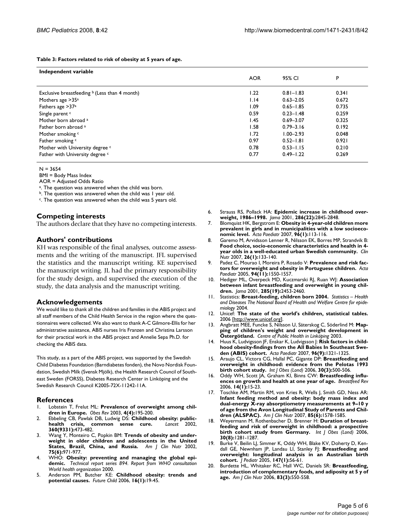#### **Table 3: Factors related to risk of obesity at 5 years of age.**

| Independent variable                                      |            |               |       |  |  |
|-----------------------------------------------------------|------------|---------------|-------|--|--|
|                                                           | <b>AOR</b> | 95% CI        | P     |  |  |
|                                                           |            |               |       |  |  |
| Exclusive breastfeeding $\frac{b}{c}$ (Less than 4 month) | 1.22       | $0.81 - 1.83$ | 0.341 |  |  |
| Mothers age >35 <sup>a</sup>                              | 1.14       | $0.63 - 2.05$ | 0.672 |  |  |
| Fathers age > 37 <sup>a</sup>                             | I.09       | $0.65 - 1.85$ | 0.735 |  |  |
| Single parent c                                           | 0.59       | $0.23 - 1.48$ | 0.259 |  |  |
| Mother born abroad a                                      | l.45       | $0.69 - 3.07$ | 0.325 |  |  |
| Father born abroad a                                      | 1.58       | $0.79 - 3.16$ | 0.192 |  |  |
| Mother smoking c                                          | 1.72       | $1.00 - 2.93$ | 0.048 |  |  |
| Father smoking c                                          | 0.97       | $0.52 - 1.81$ | 0.921 |  |  |
| Mother with University degree c                           | 0.78       | $0.53 - 1.15$ | 0.210 |  |  |
| Father with University degree c                           | 0.77       | $0.49 - 1.22$ | 0.269 |  |  |

#### $N = 3654$

BMI = Body Mass Index

AOR = Adjusted Odds Ratio

a. The question was answered when the child was born.

b. The question was answered when the child was I year old.

<sup>c</sup>. The question was answered when the child was 5 years old.

#### **Competing interests**

The authors declare that they have no competing interests.

#### **Authors' contributions**

KH was responsible of the final analyses, outcome assessments and the writing of the manuscript. JFL supervised the statistics and the manuscript writing. KE supervised the manuscript writing. JL had the primary responsibility for the study design, and supervised the execution of the study, the data analysis and the manuscript writing.

#### **Acknowledgements**

We would like to thank all the children and families in the ABIS project and all staff members of the Child Health Service in the region where the questionnaires were collected. We also want to thank A-C Gilmore-Ellis for her administrative assistance, ABIS nurses Iris Franzen and Christina Larsson for their practical work in the ABIS project and Annelie Sepa Ph.D. for checking the ABIS data.

This study, as a part of the ABIS project, was supported by the Swedish Child Diabetes Foundation (Barndiabetes fonden), the Novo Nordisk Foundation, Swedish Milk (Svensk Mjölk), the Health Research Council of Southeast Sweden (FORSS), Diabetes Research Center in Linköping and the Swedish Research Council K2005-72X-11242-11A.

#### **References**

- 1. Lobstein T, Frelut ML: **[Prevalence of overweight among chil](http://www.ncbi.nlm.nih.gov/entrez/query.fcgi?cmd=Retrieve&db=PubMed&dopt=Abstract&list_uids=14649370)[dren in Europe.](http://www.ncbi.nlm.nih.gov/entrez/query.fcgi?cmd=Retrieve&db=PubMed&dopt=Abstract&list_uids=14649370)** *Obes Rev* 2003, **4(4):**195-200.
- 2. Ebbeling CB, Pawlak DB, Ludwig DS: **[Childhood obesity: public](http://www.ncbi.nlm.nih.gov/entrez/query.fcgi?cmd=Retrieve&db=PubMed&dopt=Abstract&list_uids=12241736)**[health crisis, common sense cure.](http://www.ncbi.nlm.nih.gov/entrez/query.fcgi?cmd=Retrieve&db=PubMed&dopt=Abstract&list_uids=12241736) **360(9331):**473-482.
- 3. Wang Y, Monteiro C, Popkin BM: **[Trends of obesity and under](http://www.ncbi.nlm.nih.gov/entrez/query.fcgi?cmd=Retrieve&db=PubMed&dopt=Abstract&list_uids=12036801)[weight in older children and adolescents in the United](http://www.ncbi.nlm.nih.gov/entrez/query.fcgi?cmd=Retrieve&db=PubMed&dopt=Abstract&list_uids=12036801) [States, Brazil, China, and Russia.](http://www.ncbi.nlm.nih.gov/entrez/query.fcgi?cmd=Retrieve&db=PubMed&dopt=Abstract&list_uids=12036801)** *Am J Clin Nutr* 2002, **75(6):**971-977.
- 4. WHO: **Obesity: preventing and managing the global epidemic.** *Technical report series 894. Report from WHO consultation World health organization* 2000.
- 5. Anderson PM, Butcher KE: **[Childhood obesity: trends and](http://www.ncbi.nlm.nih.gov/entrez/query.fcgi?cmd=Retrieve&db=PubMed&dopt=Abstract&list_uids=16532657) [potential causes.](http://www.ncbi.nlm.nih.gov/entrez/query.fcgi?cmd=Retrieve&db=PubMed&dopt=Abstract&list_uids=16532657)** *Future Child* 2006, **16(1):**19-45.
- 6. Strauss RS, Pollack HA: **[Epidemic increase in childhood over](http://www.ncbi.nlm.nih.gov/entrez/query.fcgi?cmd=Retrieve&db=PubMed&dopt=Abstract&list_uids=11735760)[weight, 1986–1998.](http://www.ncbi.nlm.nih.gov/entrez/query.fcgi?cmd=Retrieve&db=PubMed&dopt=Abstract&list_uids=11735760)** *Jama* 2001, **286(22):**2845-2848.
- 7. Blomquist HK, Bergstrom E: **[Obesity in 4-year-old children more](http://www.ncbi.nlm.nih.gov/entrez/query.fcgi?cmd=Retrieve&db=PubMed&dopt=Abstract&list_uids=17187616) [prevalent in girls and in municipalities with a low socioeco](http://www.ncbi.nlm.nih.gov/entrez/query.fcgi?cmd=Retrieve&db=PubMed&dopt=Abstract&list_uids=17187616)[nomic level.](http://www.ncbi.nlm.nih.gov/entrez/query.fcgi?cmd=Retrieve&db=PubMed&dopt=Abstract&list_uids=17187616)** *Acta Paediatr* 2007, **96(1):**113-116.
- 8. Garemo M, Arvidsson Lenner R, Nilsson EK, Borres MP, Strandvik B: **[Food choice, socio-economic characteristics and health in 4](http://www.ncbi.nlm.nih.gov/entrez/query.fcgi?cmd=Retrieve&db=PubMed&dopt=Abstract&list_uids=16950546) [year olds in a well-educated urban Swedish community.](http://www.ncbi.nlm.nih.gov/entrez/query.fcgi?cmd=Retrieve&db=PubMed&dopt=Abstract&list_uids=16950546)** *Clin Nutr* 2007, **26(1):**133-140.
- 9. Padez C, Mourao I, Moreira P, Rosado V: **[Prevalence and risk fac](http://www.ncbi.nlm.nih.gov/entrez/query.fcgi?cmd=Retrieve&db=PubMed&dopt=Abstract&list_uids=16303693)[tors for overweight and obesity in Portuguese children.](http://www.ncbi.nlm.nih.gov/entrez/query.fcgi?cmd=Retrieve&db=PubMed&dopt=Abstract&list_uids=16303693)** *Acta Paediatr* 2005, **94(11):**1550-1557.
- 10. Hediger ML, Overpeck MD, Kuczmarski RJ, Ruan WJ: **[Association](http://www.ncbi.nlm.nih.gov/entrez/query.fcgi?cmd=Retrieve&db=PubMed&dopt=Abstract&list_uids=11368697) [between infant breastfeeding and overweight in young chil](http://www.ncbi.nlm.nih.gov/entrez/query.fcgi?cmd=Retrieve&db=PubMed&dopt=Abstract&list_uids=11368697)[dren.](http://www.ncbi.nlm.nih.gov/entrez/query.fcgi?cmd=Retrieve&db=PubMed&dopt=Abstract&list_uids=11368697)** *Jama* 2001, **285(19):**2453-2460.
- 11. Statistics: **Breast-feeding, children born 2004.** *Statistics Health and Diseases The National Board of Health and Welfare Centre for epidemiology* 2004.
- 12. Unicef: **The state of the world's children, statistical tables.** 2006 [<http://www.unicef.org>].
- 13. Angbratt MEE, Funcke S, Nilsson U, Säterskog C, Söderlind M: **Mapping of children's weight and overweight development in Östergötland.** *Centre of Public Health in Linköping* 2003.
- 14. Huus K, Ludvigsson JF, Enskar K, Ludvigsson J: **[Risk factors in child](http://www.ncbi.nlm.nih.gov/entrez/query.fcgi?cmd=Retrieve&db=PubMed&dopt=Abstract&list_uids=17666104)[hood obesity-findings from the All Babies In Southeast Swe](http://www.ncbi.nlm.nih.gov/entrez/query.fcgi?cmd=Retrieve&db=PubMed&dopt=Abstract&list_uids=17666104)[den \(ABIS\) cohort.](http://www.ncbi.nlm.nih.gov/entrez/query.fcgi?cmd=Retrieve&db=PubMed&dopt=Abstract&list_uids=17666104)** *Acta Paediatr* 2007, **96(9):**1321-1325.
- 15. Araujo CL, Victora CG, Hallal PC, Gigante DP: **[Breastfeeding and](http://www.ncbi.nlm.nih.gov/entrez/query.fcgi?cmd=Retrieve&db=PubMed&dopt=Abstract&list_uids=16276362) [overweight in childhood: evidence from the Pelotas 1993](http://www.ncbi.nlm.nih.gov/entrez/query.fcgi?cmd=Retrieve&db=PubMed&dopt=Abstract&list_uids=16276362) [birth cohort study.](http://www.ncbi.nlm.nih.gov/entrez/query.fcgi?cmd=Retrieve&db=PubMed&dopt=Abstract&list_uids=16276362)** *Int J Obes (Lond)* 2006, **30(3):**500-506.
- 16. Oddy WH, Scott JA, Graham KI, Binns CW: **[Breastfeeding influ](http://www.ncbi.nlm.nih.gov/entrez/query.fcgi?cmd=Retrieve&db=PubMed&dopt=Abstract&list_uids=16800062)[ences on growth and health at one year of age.](http://www.ncbi.nlm.nih.gov/entrez/query.fcgi?cmd=Retrieve&db=PubMed&dopt=Abstract&list_uids=16800062)** *Breastfeed Rev* 2006, **14(1):**15-23.
- 17. Toschke AM, Martin RM, von Kries R, Wells J, Smith GD, Ness AR: **[Infant feeding method and obesity: body mass index and](http://www.ncbi.nlm.nih.gov/entrez/query.fcgi?cmd=Retrieve&db=PubMed&dopt=Abstract&list_uids=17556696) dual-energy X-ray absorptiometry measurements at 9–10 y of age from the Avon Longitudinal Study of Parents and Chil[dren \(ALSPAC\).](http://www.ncbi.nlm.nih.gov/entrez/query.fcgi?cmd=Retrieve&db=PubMed&dopt=Abstract&list_uids=17556696)** *Am J Clin Nutr* 2007, **85(6):**1578-1585.
- 18. Weyermann M, Rothenbacher D, Brenner H: **[Duration of breast](http://www.ncbi.nlm.nih.gov/entrez/query.fcgi?cmd=Retrieve&db=PubMed&dopt=Abstract&list_uids=16505835)[feeding and risk of overweight in childhood: a prospective](http://www.ncbi.nlm.nih.gov/entrez/query.fcgi?cmd=Retrieve&db=PubMed&dopt=Abstract&list_uids=16505835) [birth cohort study from Germany.](http://www.ncbi.nlm.nih.gov/entrez/query.fcgi?cmd=Retrieve&db=PubMed&dopt=Abstract&list_uids=16505835)** *Int J Obes (Lond)* 2006, **30(8):**1281-1287.
- 19. Burke V, Beilin LJ, Simmer K, Oddy WH, Blake KV, Doherty D, Kendall GE, Newnham JP, Landau LI, Stanley FJ: **[Breastfeeding and](http://www.ncbi.nlm.nih.gov/entrez/query.fcgi?cmd=Retrieve&db=PubMed&dopt=Abstract&list_uids=16027696) [overweight: longitudinal analysis in an Australian birth](http://www.ncbi.nlm.nih.gov/entrez/query.fcgi?cmd=Retrieve&db=PubMed&dopt=Abstract&list_uids=16027696) [cohort.](http://www.ncbi.nlm.nih.gov/entrez/query.fcgi?cmd=Retrieve&db=PubMed&dopt=Abstract&list_uids=16027696)** *J Pediatr* 2005, **147(1):**56-61.
- 20. Burdette HL, Whitaker RC, Hall WC, Daniels SR: **[Breastfeeding,](http://www.ncbi.nlm.nih.gov/entrez/query.fcgi?cmd=Retrieve&db=PubMed&dopt=Abstract&list_uids=16522900) [introduction of complementary foods, and adiposity at 5 y of](http://www.ncbi.nlm.nih.gov/entrez/query.fcgi?cmd=Retrieve&db=PubMed&dopt=Abstract&list_uids=16522900) [age.](http://www.ncbi.nlm.nih.gov/entrez/query.fcgi?cmd=Retrieve&db=PubMed&dopt=Abstract&list_uids=16522900)** *Am J Clin Nutr* 2006, **83(3):**550-558.